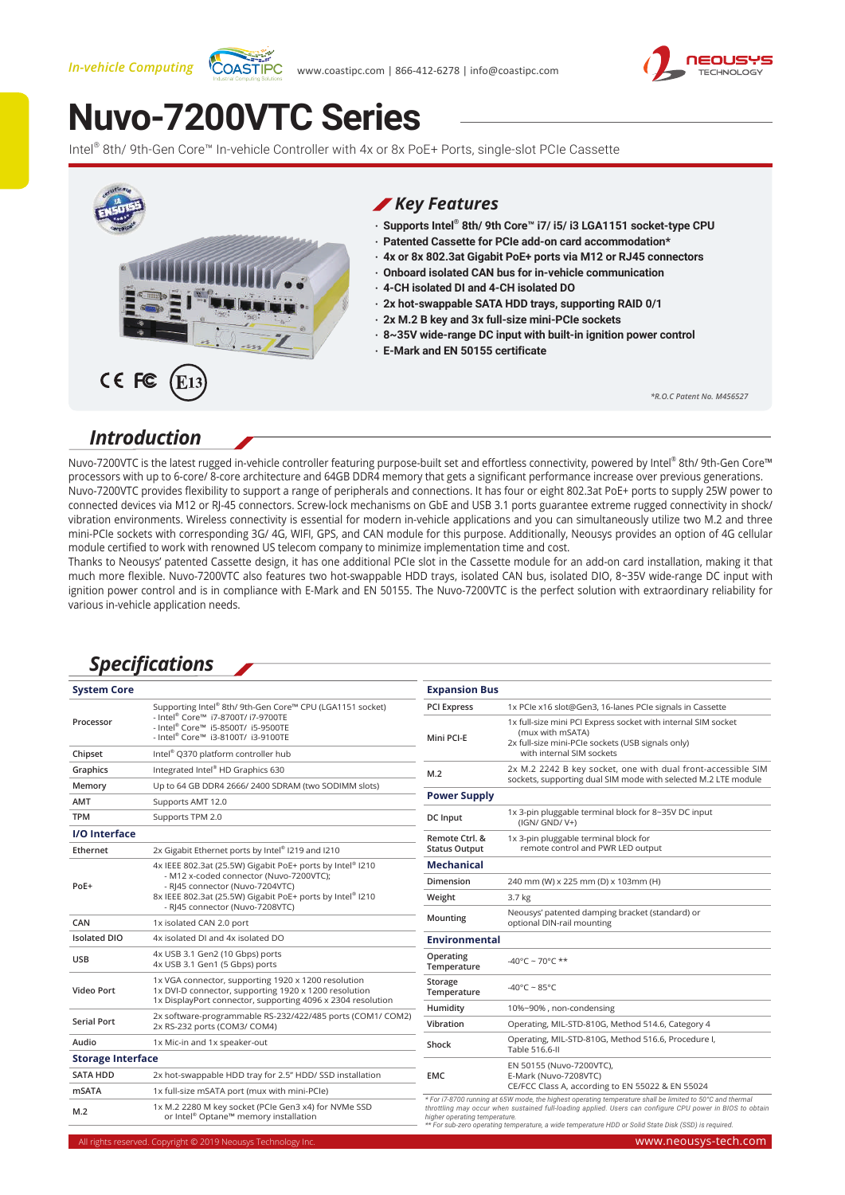#### *In-vehicle Computing*





# **[Nuvo-7200VTC Series](https://www.neousys-tech.com/product/application/in-vehicle-computing/nuvo-7200vtc-intel-8th-9th-gen-en50155-in-vehicle-fanless-embedded-computer/?utm_source=datasheet&utm_medium=web&utm_campaign=nuvo-7200vtc)**

Intel® 8th/ 9th-Gen Core™ In-vehicle Controller with 4x or 8x PoE+ Ports, single-slot PCIe Cassette



#### *Introduction*

Nuvo-7200VTC is the latest rugged in-vehicle controller featuring purpose-built set and effortless connectivity, powered by Intel® 8th/ 9th-Gen Core™ processors with up to 6-core/ 8-core architecture and 64GB DDR4 memory that gets a significant performance increase over previous generations. Nuvo-7200VTC provides flexibility to support a range of peripherals and connections. It has four or eight 802.3at PoE+ ports to supply 25W power to connected devices via M12 or RJ-45 connectors. Screw-lock mechanisms on GbE and USB 3.1 ports guarantee extreme rugged connectivity in shock/ vibration environments. Wireless connectivity is essential for modern in-vehicle applications and you can simultaneously utilize two M.2 and three mini-PCIe sockets with corresponding 3G/ 4G, WIFI, GPS, and CAN module for this purpose. Additionally, Neousys provides an option of 4G cellular module certified to work with renowned US telecom company to minimize implementation time and cost.

Thanks to Neousys' patented Cassette design, it has one additional PCIe slot in the Cassette module for an add-on card installation, making it that much more flexible. Nuvo-7200VTC also features two hot-swappable HDD trays, isolated CAN bus, isolated DIO, 8~35V wide-range DC input with ignition power control and is in compliance with E-Mark and EN 50155. The Nuvo-7200VTC is the perfect solution with extraordinary reliability for various in-vehicle application needs.

#### *Specifications*

| <b>System Core</b>       |                                                                                                                                                                                                      | <b>Expansion Bus</b>                                                                                                                                                                                                                                                                                                                                            |                                                                                                                                                                     |
|--------------------------|------------------------------------------------------------------------------------------------------------------------------------------------------------------------------------------------------|-----------------------------------------------------------------------------------------------------------------------------------------------------------------------------------------------------------------------------------------------------------------------------------------------------------------------------------------------------------------|---------------------------------------------------------------------------------------------------------------------------------------------------------------------|
|                          | Supporting Intel® 8th/9th-Gen Core™ CPU (LGA1151 socket)                                                                                                                                             | <b>PCI Express</b>                                                                                                                                                                                                                                                                                                                                              | 1x PCIe x16 slot@Gen3, 16-lanes PCIe signals in Cassette                                                                                                            |
| Processor                | - Intel <sup>®</sup> Core™ i7-8700T/ i7-9700TE<br>- Intel® Core™ i5-8500T/ i5-9500TE<br>- Intel® Core™ i3-8100T/ i3-9100TE                                                                           | Mini PCI-E                                                                                                                                                                                                                                                                                                                                                      | 1x full-size mini PCI Express socket with internal SIM socket<br>(mux with mSATA)<br>2x full-size mini-PCIe sockets (USB signals only)<br>with internal SIM sockets |
| Chipset                  | Intel® Q370 platform controller hub                                                                                                                                                                  |                                                                                                                                                                                                                                                                                                                                                                 |                                                                                                                                                                     |
| Graphics                 | Integrated Intel® HD Graphics 630                                                                                                                                                                    | M.2                                                                                                                                                                                                                                                                                                                                                             | 2x M.2 2242 B key socket, one with dual front-accessible SIM                                                                                                        |
| Memory                   | Up to 64 GB DDR4 2666/2400 SDRAM (two SODIMM slots)                                                                                                                                                  | sockets, supporting dual SIM mode with selected M.2 LTE module                                                                                                                                                                                                                                                                                                  |                                                                                                                                                                     |
| AMT                      | Supports AMT 12.0                                                                                                                                                                                    | <b>Power Supply</b>                                                                                                                                                                                                                                                                                                                                             |                                                                                                                                                                     |
| <b>TPM</b>               | Supports TPM 2.0                                                                                                                                                                                     | DC Input                                                                                                                                                                                                                                                                                                                                                        | 1x 3-pin pluggable terminal block for 8~35V DC input<br>(IGN/ GND/ V+)                                                                                              |
| I/O Interface            |                                                                                                                                                                                                      | Remote Ctrl. &<br><b>Status Output</b>                                                                                                                                                                                                                                                                                                                          | 1x 3-pin pluggable terminal block for<br>remote control and PWR LED output                                                                                          |
| Ethernet                 | 2x Gigabit Ethernet ports by Intel® I219 and I210                                                                                                                                                    |                                                                                                                                                                                                                                                                                                                                                                 |                                                                                                                                                                     |
| PoE+                     | 4x IEEE 802.3at (25.5W) Gigabit PoE+ ports by Intel® I210<br>- M12 x-coded connector (Nuvo-7200VTC);<br>- RI45 connector (Nuvo-7204VTC)<br>8x IEEE 802.3at (25.5W) Gigabit PoE+ ports by Intel® I210 | <b>Mechanical</b>                                                                                                                                                                                                                                                                                                                                               |                                                                                                                                                                     |
|                          |                                                                                                                                                                                                      | Dimension                                                                                                                                                                                                                                                                                                                                                       | 240 mm (W) x 225 mm (D) x 103mm (H)                                                                                                                                 |
|                          |                                                                                                                                                                                                      | Weight                                                                                                                                                                                                                                                                                                                                                          | 3.7 kg                                                                                                                                                              |
| CAN                      | - RJ45 connector (Nuvo-7208VTC)<br>1x isolated CAN 2.0 port                                                                                                                                          | Mounting                                                                                                                                                                                                                                                                                                                                                        | Neousys' patented damping bracket (standard) or<br>optional DIN-rail mounting                                                                                       |
| <b>Isolated DIO</b>      | 4x isolated DI and 4x isolated DO                                                                                                                                                                    | <b>Environmental</b>                                                                                                                                                                                                                                                                                                                                            |                                                                                                                                                                     |
| <b>USB</b>               | 4x USB 3.1 Gen2 (10 Gbps) ports<br>4x USB 3.1 Gen1 (5 Gbps) ports                                                                                                                                    | Operating<br>Temperature                                                                                                                                                                                                                                                                                                                                        | -40°C ~ 70°C **                                                                                                                                                     |
| Video Port               | 1x VGA connector, supporting 1920 x 1200 resolution<br>1x DVI-D connector, supporting 1920 x 1200 resolution                                                                                         | Storage<br>Temperature                                                                                                                                                                                                                                                                                                                                          | $-40^{\circ}$ C ~ 85°C                                                                                                                                              |
|                          | 1x DisplayPort connector, supporting 4096 x 2304 resolution                                                                                                                                          | Humidity                                                                                                                                                                                                                                                                                                                                                        | 10%~90%, non-condensing                                                                                                                                             |
| <b>Serial Port</b>       | 2x software-programmable RS-232/422/485 ports (COM1/ COM2)<br>2x RS-232 ports (COM3/ COM4)                                                                                                           | Vibration                                                                                                                                                                                                                                                                                                                                                       | Operating, MIL-STD-810G, Method 514.6, Category 4                                                                                                                   |
| Audio                    | 1x Mic-in and 1x speaker-out                                                                                                                                                                         | Shock                                                                                                                                                                                                                                                                                                                                                           | Operating, MIL-STD-810G, Method 516.6, Procedure I,<br>Table 516.6-II                                                                                               |
| <b>Storage Interface</b> |                                                                                                                                                                                                      |                                                                                                                                                                                                                                                                                                                                                                 |                                                                                                                                                                     |
| <b>SATA HDD</b>          | 2x hot-swappable HDD tray for 2.5" HDD/ SSD installation                                                                                                                                             | <b>EMC</b>                                                                                                                                                                                                                                                                                                                                                      | EN 50155 (Nuvo-7200VTC),<br>E-Mark (Nuvo-7208VTC)                                                                                                                   |
| <b>mSATA</b>             | 1x full-size mSATA port (mux with mini-PCIe)                                                                                                                                                         |                                                                                                                                                                                                                                                                                                                                                                 | CE/FCC Class A, according to EN 55022 & EN 55024                                                                                                                    |
| M.2                      | 1x M.2 2280 M key socket (PCIe Gen3 x4) for NVMe SSD<br>or Intel® Optane™ memory installation                                                                                                        | * For i7-8700 running at 65W mode, the highest operating temperature shall be limited to 50°C and thermal<br>throttling may occur when sustained full-loading applied. Users can configure CPU power in BIOS to obtain<br>higher operating temperature.<br>** For sub-zero operating temperature, a wide temperature HDD or Solid State Disk (SSD) is required. |                                                                                                                                                                     |